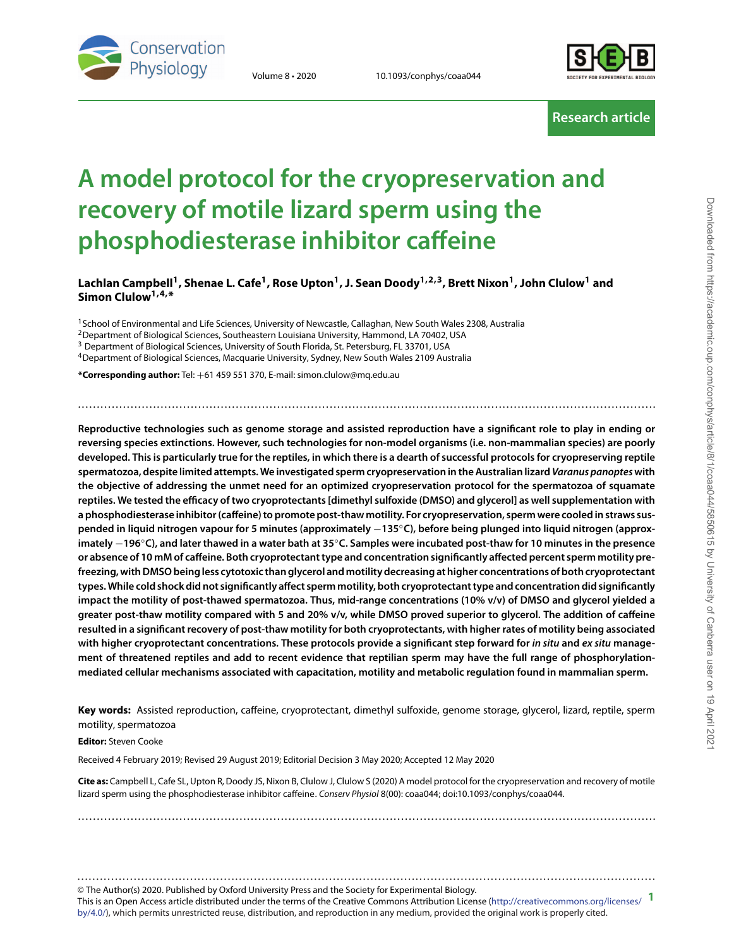

Volume 8 • 2020 10.1093/conphys/coaa044



**Research article**

# **A model protocol for the cryopreservation and recovery of motile lizard sperm using the phosphodiesterase inhibitor caffeine**

**Lachlan Campbell1, Shenae L. Cafe1, Rose Upton1, J. Sean Doody1,2,3, Brett Nixon1, John Clulow1 and Simon Clulow1,4,\***

<sup>1</sup> School of Environmental and Life Sciences, University of Newcastle, Callaghan, New South Wales 2308, Australia

<sup>2</sup> Department of Biological Sciences, Southeastern Louisiana University, Hammond, LA 70402, USA

<sup>3</sup> Department of Biological Sciences, University of South Florida, St. Petersburg, FL 33701, USA

4Department of Biological Sciences, Macquarie University, Sydney, New South Wales 2109 Australia

**\*Corresponding author:** Tel: +61 459 551 370, E-mail: simon.clulow@mq.edu.au

**Reproductive technologies such as genome storage and assisted reproduction have a significant role to play in ending or reversing species extinctions. However, such technologies for non-model organisms (i.e. non-mammalian species) are poorly developed. This is particularly true for the reptiles, in which there is a dearth of successful protocols for cryopreserving reptile spermatozoa, despite limited attempts. We investigated sperm cryopreservation in the Australian lizard** *Varanus panoptes***with the objective of addressing the unmet need for an optimized cryopreservation protocol for the spermatozoa of squamate reptiles. We tested the efficacy of two cryoprotectants [dimethyl sulfoxide (DMSO) and glycerol] as well supplementation with a phosphodiesterase inhibitor (caffeine) to promote post-thaw motility. For cryopreservation, sperm were cooled in straws sus**pended in liquid nitrogen vapour for 5 minutes (approximately -135°C), before being plunged into liquid nitrogen (approx**imately** −**196**◦**C), and later thawed in a water bath at 35**◦**C. Samples were incubated post-thaw for 10 minutes in the presence or absence of 10 mM of caffeine. Both cryoprotectant type and concentration significantly affected percent sperm motility prefreezing, with DMSO being less cytotoxic than glycerol andmotility decreasing at higher concentrations of both cryoprotectant types. While cold shock did not significantly affect sperm motility, both cryoprotectant type and concentration did significantly impact the motility of post-thawed spermatozoa. Thus, mid-range concentrations (10% v/v) of DMSO and glycerol yielded a greater post-thaw motility compared with 5 and 20% v/v, while DMSO proved superior to glycerol. The addition of caffeine resulted in a significant recovery of post-thaw motility for both cryoprotectants, with higher rates of motility being associated with higher cryoprotectant concentrations. These protocols provide a significant step forward for** *in situ* **and** *ex situ* **management of threatened reptiles and add to recent evidence that reptilian sperm may have the full range of phosphorylationmediated cellular mechanisms associated with capacitation, motility and metabolic regulation found in mammalian sperm.**

..........................................................................................................................................................

**Key words:** Assisted reproduction, caffeine, cryoprotectant, dimethyl sulfoxide, genome storage, glycerol, lizard, reptile, sperm motility, spermatozoa

#### **Editor:** Steven Cooke

Received 4 February 2019; Revised 29 August 2019; Editorial Decision 3 May 2020; Accepted 12 May 2020

**Cite as:** Campbell L, Cafe SL, Upton R, Doody JS, Nixon B, Clulow J, Clulow S (2020) A model protocol for the cryopreservation and recovery of motile lizard sperm using the phosphodiesterase inhibitor caffeine. Conserv Physiol 8(00): coaa044; doi:10.1093/conphys/coaa044.

..........................................................................................................................................................

© The Author(s) 2020. Published by Oxford University Press and the Society for Experimental Biology. This is an Open Access article distributed under the terms of the Creative Commons Attribution License [\(http://creativecommons.org/licenses/](http://creativecommons.org/licenses/by/4.0/) **1** [by/4.0/\)](http://creativecommons.org/licenses/by/4.0/), which permits unrestricted reuse, distribution, and reproduction in any medium, provided the original work is properly cited. ..........................................................................................................................................................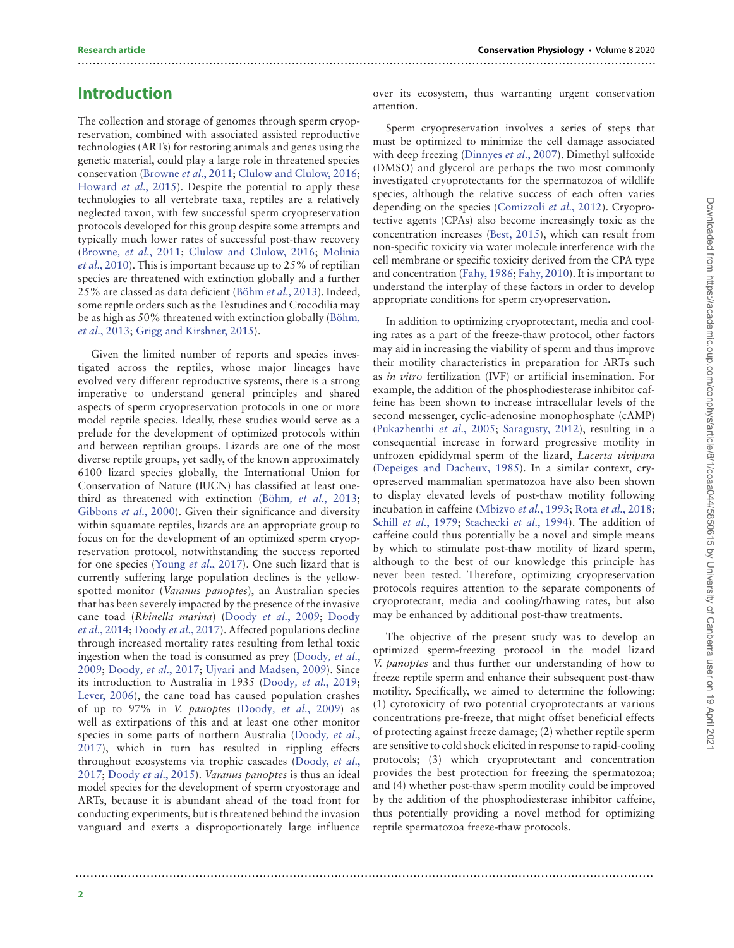## **Introduction**

The collection and storage of genomes through sperm cryopreservation, combined with associated assisted reproductive technologies (ARTs) for restoring animals and genes using the genetic material, could play a large role in threatened species conservation [\(Browne](#page-6-0) et al., 2011; [Clulow and Clulow, 2016;](#page-7-0) [Howard](#page-7-1) et al., 2015). Despite the potential to apply these technologies to all vertebrate taxa, reptiles are a relatively neglected taxon, with few successful sperm cryopreservation protocols developed for this group despite some attempts and typically much lower rates of successful post-thaw recovery [\(Browne](#page-6-0), et al., 2011; [Clulow and Clulow, 2016;](#page-7-0) Molinia et al.[, 2010\). This is important because up to 25% of reptilian](#page-7-2) species are threatened with extinction globally and a further 25% are classed as data deficient (Böhm et al.[, 2013\)](#page-6-1). Indeed, some reptile orders such as the Testudines and Crocodilia may [be as high as 50% threatened with extinction globally \(Böhm](#page-6-1), et al., 2013; [Grigg and Kirshner, 2015\)](#page-7-3).

Given the limited number of reports and species investigated across the reptiles, whose major lineages have evolved very different reproductive systems, there is a strong imperative to understand general principles and shared aspects of sperm cryopreservation protocols in one or more model reptile species. Ideally, these studies would serve as a prelude for the development of optimized protocols within and between reptilian groups. Lizards are one of the most diverse reptile groups, yet sadly, of the known approximately 6100 lizard species globally, the International Union for Conservation of Nature (IUCN) has classified at least onethird as threatened with extinction (Böhm[, et al.](#page-6-1), 2013; [Gibbons](#page-7-4) et al., 2000). Given their significance and diversity within squamate reptiles, lizards are an appropriate group to focus on for the development of an optimized sperm cryopreservation protocol, notwithstanding the success reported for one species [\(Young](#page-8-0) et al., 2017). One such lizard that is currently suffering large population declines is the yellowspotted monitor (Varanus panoptes), an Australian species that has been severely impacted by the presence of the invasive cane toad (Rhinella marina) (Doody et al.[, 2009;](#page-7-5) Doody et al., 2014; [Doody](#page-7-7) et al.[, 2017\). Affected populations decline](#page-7-6) through increased mortality rates resulting from lethal toxic [ingestion when the toad is consumed as prey \(Doody](#page-7-5), et al., 2009; Doody, et al.[, 2017;](#page-7-7) [Ujvari and Madsen, 2009\)](#page-8-1). Since its introduction to Australia in 1935 [\(Doody](#page-7-5), et al., 2019; [Lever, 2006\)](#page-7-8), the cane toad has caused population crashes of up to 97% in V. panoptes (Doody[, et al.](#page-7-5), 2009) as well as extirpations of this and at least one other monitor species in some parts of northern Australia (Doody, et al., [2017\), which in turn has resulted in rippling effects](#page-7-7) [throughout ecosystems via trophic cascades \(Doody,](#page-7-7) et al., 2017; [Doody](#page-7-9) et al., 2015). Varanus panoptes is thus an ideal model species for the development of sperm cryostorage and ARTs, because it is abundant ahead of the toad front for conducting experiments, but is threatened behind the invasion vanguard and exerts a disproportionately large influence

over its ecosystem, thus warranting urgent conservation attention.

..........................................................................................................................................................

..........................................................................................................................................................

Sperm cryopreservation involves a series of steps that must be optimized to minimize the cell damage associated with deep freezing [\(Dinnyes](#page-7-10) *et al.*, 2007). Dimethyl sulfoxide (DMSO) and glycerol are perhaps the two most commonly investigated cryoprotectants for the spermatozoa of wildlife species, although the relative success of each often varies depending on the species [\(Comizzoli](#page-7-11) et al., 2012). Cryoprotective agents (CPAs) also become increasingly toxic as the concentration increases [\(Best, 2015\)](#page-6-2), which can result from non-specific toxicity via water molecule interference with the cell membrane or specific toxicity derived from the CPA type and concentration [\(Fahy, 1986;](#page-7-12) [Fahy, 2010\)](#page-7-13). It is important to understand the interplay of these factors in order to develop appropriate conditions for sperm cryopreservation.

In addition to optimizing cryoprotectant, media and cooling rates as a part of the freeze-thaw protocol, other factors may aid in increasing the viability of sperm and thus improve their motility characteristics in preparation for ARTs such as in vitro fertilization (IVF) or artificial insemination. For example, the addition of the phosphodiesterase inhibitor caffeine has been shown to increase intracellular levels of the second messenger, cyclic-adenosine monophosphate (cAMP) [\(Pukazhenthi](#page-8-2) et al., 2005; [Saragusty, 2012\)](#page-8-3), resulting in a consequential increase in forward progressive motility in unfrozen epididymal sperm of the lizard, Lacerta vivipara [\(Depeiges and Dacheux, 1985\)](#page-7-14). In a similar context, cryopreserved mammalian spermatozoa have also been shown to display elevated levels of post-thaw motility following incubation in caffeine [\(Mbizvo](#page-7-15) et al., 1993; Rota et al.[, 2018;](#page-8-4) Schill et al.[, 1979;](#page-8-5) [Stachecki](#page-8-6) et al., 1994). The addition of caffeine could thus potentially be a novel and simple means by which to stimulate post-thaw motility of lizard sperm, although to the best of our knowledge this principle has never been tested. Therefore, optimizing cryopreservation protocols requires attention to the separate components of cryoprotectant, media and cooling/thawing rates, but also may be enhanced by additional post-thaw treatments.

The objective of the present study was to develop an optimized sperm-freezing protocol in the model lizard V. panoptes and thus further our understanding of how to freeze reptile sperm and enhance their subsequent post-thaw motility. Specifically, we aimed to determine the following: (1) cytotoxicity of two potential cryoprotectants at various concentrations pre-freeze, that might offset beneficial effects of protecting against freeze damage; (2) whether reptile sperm are sensitive to cold shock elicited in response to rapid-cooling protocols; (3) which cryoprotectant and concentration provides the best protection for freezing the spermatozoa; and (4) whether post-thaw sperm motility could be improved by the addition of the phosphodiesterase inhibitor caffeine, thus potentially providing a novel method for optimizing reptile spermatozoa freeze-thaw protocols.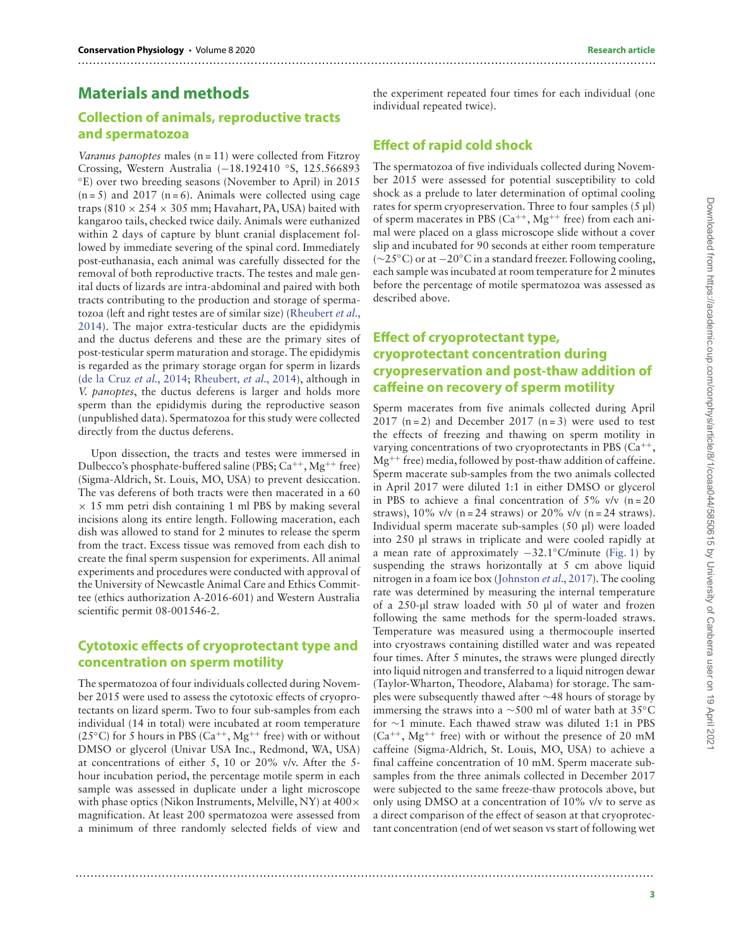# **Materials and methods Collection of animals, reproductive tracts and spermatozoa**

Varanus panoptes males  $(n = 11)$  were collected from Fitzroy Crossing, Western Australia (−18.192410 ◦S, 125.566893 ◦E) over two breeding seasons (November to April) in 2015  $(n=5)$  and 2017  $(n=6)$ . Animals were collected using cage traps (810  $\times$  254  $\times$  305 mm; Havahart, PA, USA) baited with kangaroo tails, checked twice daily. Animals were euthanized within 2 days of capture by blunt cranial displacement followed by immediate severing of the spinal cord. Immediately post-euthanasia, each animal was carefully dissected for the removal of both reproductive tracts. The testes and male genital ducts of lizards are intra-abdominal and paired with both tracts contributing to the production and storage of spermatozoa (left and right testes are of similar size) (Rheubert et al., [2014\). The major extra-testicular ducts are the epididymis](#page-8-7) and the ductus deferens and these are the primary sites of post-testicular sperm maturation and storage. The epididymis is regarded as the primary storage organ for sperm in lizards [\(de la Cruz](#page-7-16) et al., 2014; [Rheubert](#page-8-7), et al., 2014), although in V. panoptes, the ductus deferens is larger and holds more sperm than the epididymis during the reproductive season (unpublished data). Spermatozoa for this study were collected directly from the ductus deferens.

Upon dissection, the tracts and testes were immersed in Dulbecco's phosphate-buffered saline (PBS;  $Ca^{++}$ , Mg<sup>++</sup> free) (Sigma-Aldrich, St. Louis, MO, USA) to prevent desiccation. The vas deferens of both tracts were then macerated in a 60  $\times$  15 mm petri dish containing 1 ml PBS by making several incisions along its entire length. Following maceration, each dish was allowed to stand for 2 minutes to release the sperm from the tract. Excess tissue was removed from each dish to create the final sperm suspension for experiments. All animal experiments and procedures were conducted with approval of the University of Newcastle Animal Care and Ethics Committee (ethics authorization A-2016-601) and Western Australia scientific permit 08-001546-2.

## **Cytotoxic effects of cryoprotectant type and concentration on sperm motility**

The spermatozoa of four individuals collected during November 2015 were used to assess the cytotoxic effects of cryoprotectants on lizard sperm. Two to four sub-samples from each individual (14 in total) were incubated at room temperature (25 $\degree$ C) for 5 hours in PBS (Ca<sup>++</sup>, Mg<sup>++</sup> free) with or without DMSO or glycerol (Univar USA Inc., Redmond, WA, USA) at concentrations of either 5, 10 or 20% v/v. After the 5 hour incubation period, the percentage motile sperm in each sample was assessed in duplicate under a light microscope with phase optics (Nikon Instruments, Melville, NY) at  $400 \times$ magnification. At least 200 spermatozoa were assessed from a minimum of three randomly selected fields of view and

the experiment repeated four times for each individual (one individual repeated twice).

## **Effect of rapid cold shock**

..........................................................................................................................................................

..........................................................................................................................................................

The spermatozoa of five individuals collected during November 2015 were assessed for potential susceptibility to cold shock as a prelude to later determination of optimal cooling rates for sperm cryopreservation. Three to four samples (5 μl) of sperm macerates in PBS  $(Ca^{++}, Mg^{++}$  free) from each animal were placed on a glass microscope slide without a cover slip and incubated for 90 seconds at either room temperature (∼25◦C) or at −20◦C in a standard freezer. Following cooling, each sample was incubated at room temperature for 2 minutes before the percentage of motile spermatozoa was assessed as described above.

## **Effect of cryoprotectant type, cryoprotectant concentration during cryopreservation and post-thaw addition of caffeine on recovery of sperm motility**

Sperm macerates from five animals collected during April 2017 (n = 2) and December 2017 (n = 3) were used to test the effects of freezing and thawing on sperm motility in varying concentrations of two cryoprotectants in PBS  $(Ca^{++},$  $Mg^{++}$  free) media, followed by post-thaw addition of caffeine. Sperm macerate sub-samples from the two animals collected in April 2017 were diluted 1:1 in either DMSO or glycerol in PBS to achieve a final concentration of  $5\%$  v/v (n = 20) straws),  $10\%$  v/v (n = 24 straws) or  $20\%$  v/v (n = 24 straws). Individual sperm macerate sub-samples (50 μl) were loaded into 250 μl straws in triplicate and were cooled rapidly at a mean rate of approximately −32.1◦C/minute [\(Fig. 1\)](#page-3-0) by suspending the straws horizontally at 5 cm above liquid nitrogen in a foam ice box [\(Johnston](#page-7-17) et al., 2017). The cooling rate was determined by measuring the internal temperature of a 250-μl straw loaded with 50 μl of water and frozen following the same methods for the sperm-loaded straws. Temperature was measured using a thermocouple inserted into cryostraws containing distilled water and was repeated four times. After 5 minutes, the straws were plunged directly into liquid nitrogen and transferred to a liquid nitrogen dewar (Taylor-Wharton, Theodore, Alabama) for storage. The samples were subsequently thawed after ∼48 hours of storage by immersing the straws into a ∼500 ml of water bath at 35◦C for ∼1 minute. Each thawed straw was diluted 1:1 in PBS  $(Ca^{++}, Mg^{++}$  free) with or without the presence of 20 mM caffeine (Sigma-Aldrich, St. Louis, MO, USA) to achieve a final caffeine concentration of 10 mM. Sperm macerate subsamples from the three animals collected in December 2017 were subjected to the same freeze-thaw protocols above, but only using DMSO at a concentration of 10% v/v to serve as a direct comparison of the effect of season at that cryoprotectant concentration (end of wet season vs start of following wet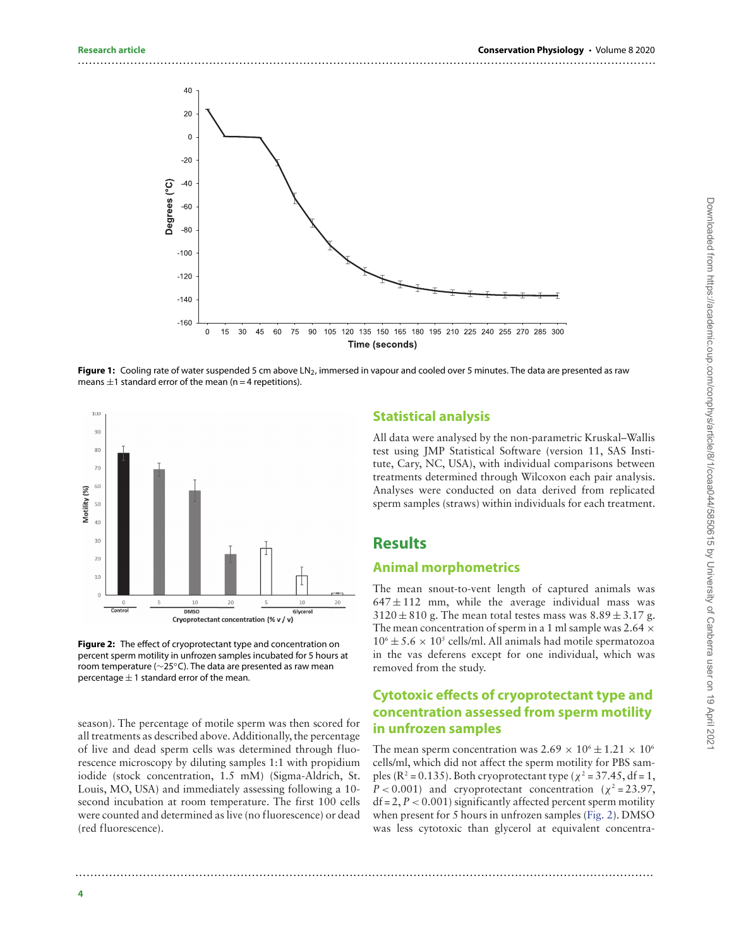

..........................................................................................................................................................

<span id="page-3-0"></span>Figure 1: Cooling rate of water suspended 5 cm above LN<sub>2</sub>, immersed in vapour and cooled over 5 minutes. The data are presented as raw means  $\pm 1$  standard error of the mean (n = 4 repetitions).



<span id="page-3-1"></span>**Figure 2:** The effect of cryoprotectant type and concentration on percent sperm motility in unfrozen samples incubated for 5 hours at room temperature (∼25◦C). The data are presented as raw mean percentage  $\pm$  1 standard error of the mean.

season). The percentage of motile sperm was then scored for all treatments as described above. Additionally, the percentage of live and dead sperm cells was determined through fluorescence microscopy by diluting samples 1:1 with propidium iodide (stock concentration, 1.5 mM) (Sigma-Aldrich, St. Louis, MO, USA) and immediately assessing following a 10 second incubation at room temperature. The first 100 cells were counted and determined as live (no fluorescence) or dead (red fluorescence).

#### **Statistical analysis**

All data were analysed by the non-parametric Kruskal–Wallis test using JMP Statistical Software (version 11, SAS Institute, Cary, NC, USA), with individual comparisons between treatments determined through Wilcoxon each pair analysis. Analyses were conducted on data derived from replicated sperm samples (straws) within individuals for each treatment.

# **Results**

#### **Animal morphometrics**

The mean snout-to-vent length of captured animals was  $647 \pm 112$  mm, while the average individual mass was  $3120 \pm 810$  g. The mean total testes mass was  $8.89 \pm 3.17$  g. The mean concentration of sperm in a 1 ml sample was 2.64  $\times$  $10^6 \pm 5.6 \times 10^5$  cells/ml. All animals had motile spermatozoa in the vas deferens except for one individual, which was removed from the study.

## **Cytotoxic effects of cryoprotectant type and concentration assessed from sperm motility in unfrozen samples**

The mean sperm concentration was  $2.69 \times 10^6 \pm 1.21 \times 10^6$ cells/ml, which did not affect the sperm motility for PBS samples ( $R^2$  = 0.135). Both cryoprotectant type ( $\chi^2$  = 37.45, df = 1,  $P < 0.001$ ) and cryoprotectant concentration ( $\chi^2 = 23.97$ ,  $df = 2, P < 0.001$ ) significantly affected percent sperm motility when present for 5 hours in unfrozen samples [\(Fig. 2\)](#page-3-1). DMSO was less cytotoxic than glycerol at equivalent concentra-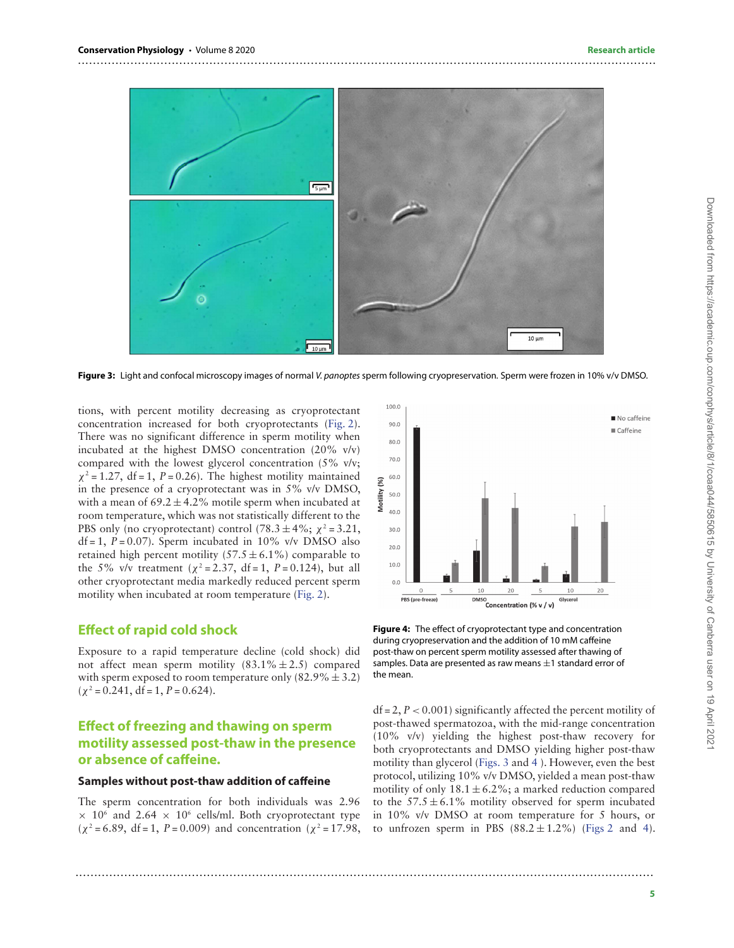

..........................................................................................................................................................

<span id="page-4-0"></span>Figure 3: Light and confocal microscopy images of normal V. panoptes sperm following cryopreservation. Sperm were frozen in 10% v/v DMSO.

..........................................................................................................................................................

tions, with percent motility decreasing as cryoprotectant concentration increased for both cryoprotectants [\(Fig. 2\)](#page-3-1). There was no significant difference in sperm motility when incubated at the highest DMSO concentration (20% v/v) compared with the lowest glycerol concentration (5% v/v;  $\chi^2$  = 1.27, df = 1, P = 0.26). The highest motility maintained in the presence of a cryoprotectant was in 5% v/v DMSO, with a mean of  $69.2 \pm 4.2\%$  motile sperm when incubated at room temperature, which was not statistically different to the PBS only (no cryoprotectant) control  $(78.3 \pm 4\%; \chi^2 = 3.21,$  $df = 1$ ,  $P = 0.07$ ). Sperm incubated in 10% v/v DMSO also retained high percent motility  $(57.5 \pm 6.1\%)$  comparable to the 5% v/v treatment ( $\chi^2 = 2.37$ , df = 1, P = 0.124), but all other cryoprotectant media markedly reduced percent sperm motility when incubated at room temperature [\(Fig. 2\)](#page-3-1).

#### **Effect of rapid cold shock**

Exposure to a rapid temperature decline (cold shock) did not affect mean sperm motility  $(83.1\% \pm 2.5)$  compared with sperm exposed to room temperature only  $(82.9\% \pm 3.2)$  $(\chi^2 = 0.241, df = 1, P = 0.624).$ 

## **Effect of freezing and thawing on sperm motility assessed post-thaw in the presence or absence of caffeine.**

#### **Samples without post-thaw addition of caffeine**

The sperm concentration for both individuals was 2.96  $\times$  10<sup>6</sup> and 2.64  $\times$  10<sup>6</sup> cells/ml. Both cryoprotectant type  $(\chi^2 = 6.89, df = 1, P = 0.009)$  and concentration  $(\chi^2 = 17.98,$ 



<span id="page-4-1"></span>**Figure 4:** The effect of cryoprotectant type and concentration during cryopreservation and the addition of 10 mM caffeine post-thaw on percent sperm motility assessed after thawing of samples. Data are presented as raw means  $\pm 1$  standard error of the mean.

df = 2, P *<* 0.001) significantly affected the percent motility of post-thawed spermatozoa, with the mid-range concentration (10% v/v) yielding the highest post-thaw recovery for both cryoprotectants and DMSO yielding higher post-thaw motility than glycerol [\(Figs. 3](#page-4-0) and [4](#page-4-1) ). However, even the best protocol, utilizing 10% v/v DMSO, yielded a mean post-thaw motility of only  $18.1 \pm 6.2\%$ ; a marked reduction compared to the  $57.5 \pm 6.1\%$  motility observed for sperm incubated in 10% v/v DMSO at room temperature for 5 hours, or to unfrozen sperm in PBS  $(88.2 \pm 1.2\%)$  [\(Figs 2](#page-3-1) and [4\)](#page-4-1).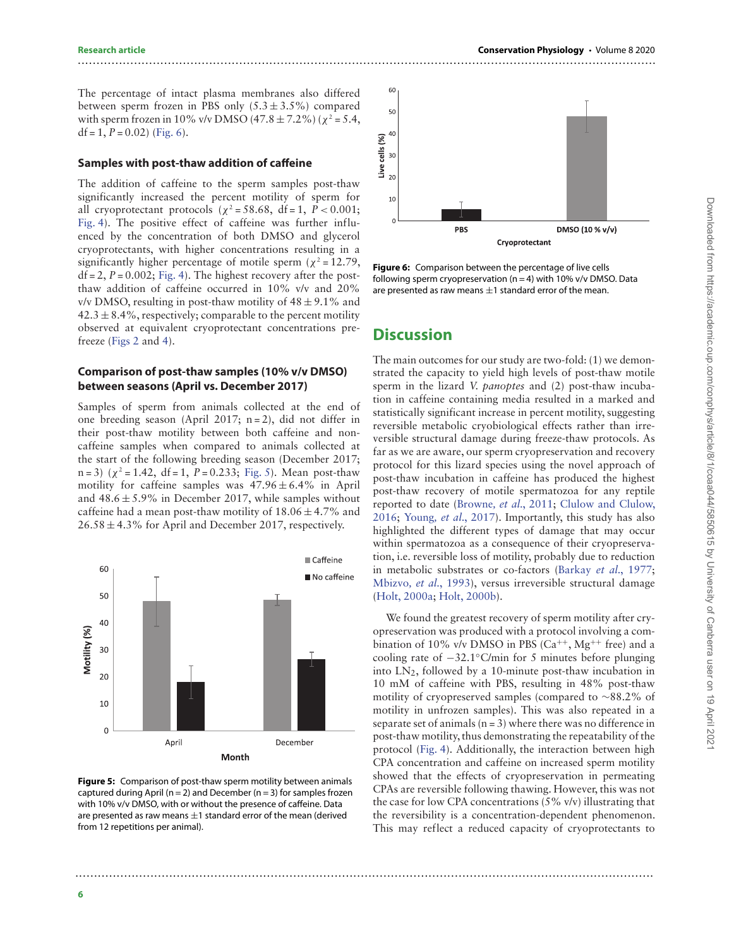The percentage of intact plasma membranes also differed between sperm frozen in PBS only  $(5.3 \pm 3.5\%)$  compared with sperm frozen in 10% v/v DMSO  $(47.8 \pm 7.2\%)$   $(\chi^2 = 5.4,$  $df = 1, P = 0.02$  [\(Fig. 6\)](#page-5-0).

#### **Samples with post-thaw addition of caffeine**

The addition of caffeine to the sperm samples post-thaw significantly increased the percent motility of sperm for all cryoprotectant protocols  $(\chi^2 = 58.68, df = 1, P < 0.001;$ [Fig. 4\)](#page-4-1). The positive effect of caffeine was further influenced by the concentration of both DMSO and glycerol cryoprotectants, with higher concentrations resulting in a significantly higher percentage of motile sperm ( $\chi^2$  = 12.79,  $df = 2$ ,  $P = 0.002$ ; [Fig. 4\)](#page-4-1). The highest recovery after the postthaw addition of caffeine occurred in 10% v/v and 20% v/v DMSO, resulting in post-thaw motility of  $48 \pm 9.1\%$  and  $42.3 \pm 8.4\%$ , respectively; comparable to the percent motility observed at equivalent cryoprotectant concentrations prefreeze [\(Figs 2](#page-3-1) and [4\)](#page-4-1).

#### **Comparison of post-thaw samples (10% v/v DMSO) between seasons (April vs. December 2017)**

Samples of sperm from animals collected at the end of one breeding season (April 2017;  $n = 2$ ), did not differ in their post-thaw motility between both caffeine and noncaffeine samples when compared to animals collected at the start of the following breeding season (December 2017; n = 3)  $(\chi^2 = 1.42, df = 1, P = 0.233; Fig. 5)$  $(\chi^2 = 1.42, df = 1, P = 0.233; Fig. 5)$ . Mean post-thaw motility for caffeine samples was  $47.96 \pm 6.4\%$  in April and  $48.6 \pm 5.9\%$  in December 2017, while samples without caffeine had a mean post-thaw motility of  $18.06 \pm 4.7\%$  and  $26.58 \pm 4.3\%$  for April and December 2017, respectively.



<span id="page-5-1"></span>**Figure 5:** Comparison of post-thaw sperm motility between animals captured during April ( $n = 2$ ) and December ( $n = 3$ ) for samples frozen with 10% v/v DMSO, with or without the presence of caffeine. Data are presented as raw means  $\pm 1$  standard error of the mean (derived from 12 repetitions per animal).



<span id="page-5-0"></span>**Figure 6:** Comparison between the percentage of live cells following sperm cryopreservation ( $n = 4$ ) with 10% v/v DMSO. Data are presented as raw means  $\pm 1$  standard error of the mean.

### **Discussion**

..........................................................................................................................................................

..........................................................................................................................................................

The main outcomes for our study are two-fold: (1) we demonstrated the capacity to yield high levels of post-thaw motile sperm in the lizard *V. panoptes* and (2) post-thaw incubation in caffeine containing media resulted in a marked and statistically significant increase in percent motility, suggesting reversible metabolic cryobiological effects rather than irreversible structural damage during freeze-thaw protocols. As far as we are aware, our sperm cryopreservation and recovery protocol for this lizard species using the novel approach of post-thaw incubation in caffeine has produced the highest post-thaw recovery of motile spermatozoa for any reptile reported to date [\(Browne](#page-6-0), et al., 2011; Clulow and Clulow, 2016; Young, et al.[, 2017\). Importantly, this study has also](#page-7-0) highlighted the different types of damage that may occur within spermatozoa as a consequence of their cryopreservation, i.e. reversible loss of motility, probably due to reduction in metabolic substrates or co-factors [\(Barkay](#page-6-3) et al., 1977; [Mbizvo](#page-7-15), et al., 1993), versus irreversible structural damage [\(Holt, 2000a;](#page-7-18) [Holt, 2000b\)](#page-7-19).

We found the greatest recovery of sperm motility after cryopreservation was produced with a protocol involving a combination of 10% v/v DMSO in PBS (Ca<sup>++</sup>, Mg<sup>++</sup> free) and a cooling rate of −32.1◦C/min for 5 minutes before plunging into LN2, followed by a 10-minute post-thaw incubation in 10 mM of caffeine with PBS, resulting in 48% post-thaw motility of cryopreserved samples (compared to ∼88.2% of motility in unfrozen samples). This was also repeated in a separate set of animals  $(n = 3)$  where there was no difference in post-thaw motility, thus demonstrating the repeatability of the protocol [\(Fig. 4\)](#page-4-1). Additionally, the interaction between high CPA concentration and caffeine on increased sperm motility showed that the effects of cryopreservation in permeating CPAs are reversible following thawing. However, this was not the case for low CPA concentrations  $(5\% \text{ v/v})$  illustrating that the reversibility is a concentration-dependent phenomenon. This may reflect a reduced capacity of cryoprotectants to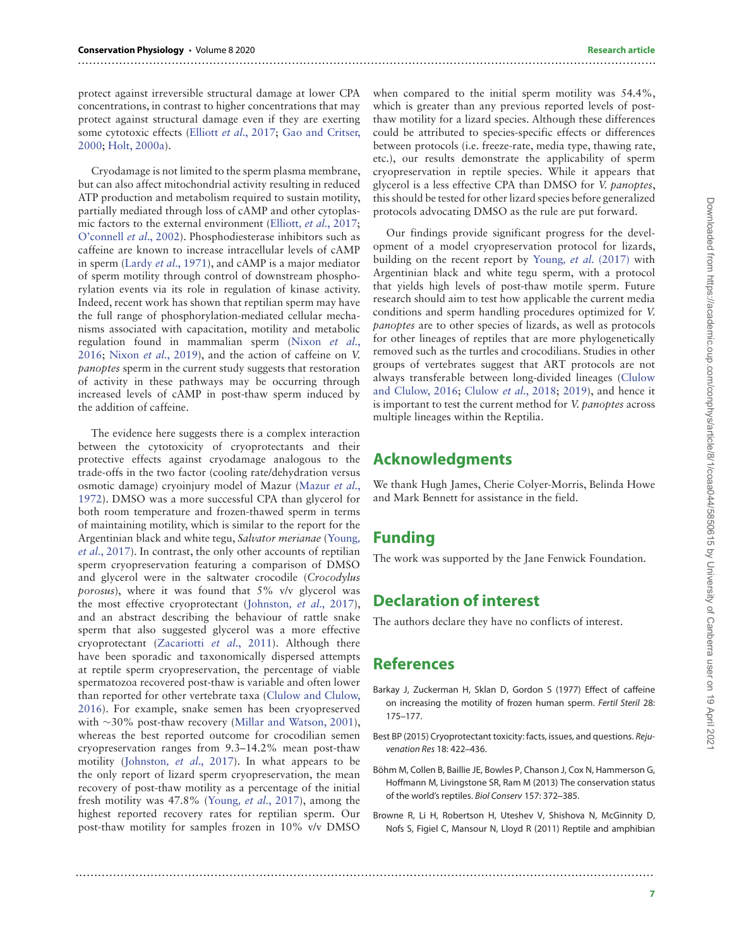protect against irreversible structural damage at lower CPA concentrations, in contrast to higher concentrations that may protect against structural damage even if they are exerting [some cytotoxic effects \(Elliott](#page-7-21) et al.[, 2017;](#page-7-20) Gao and Critser, 2000; [Holt, 2000a\)](#page-7-18).

Cryodamage is not limited to the sperm plasma membrane, but can also affect mitochondrial activity resulting in reduced ATP production and metabolism required to sustain motility, partially mediated through loss of cAMP and other cytoplas-mic factors to the external environment (Elliott, et al.[, 2017;](#page-7-20) [O'connell](#page-8-8) et al., 2002). Phosphodiesterase inhibitors such as caffeine are known to increase intracellular levels of cAMP in sperm (Lardy et al.[, 1971\)](#page-7-22), and cAMP is a major mediator of sperm motility through control of downstream phosphorylation events via its role in regulation of kinase activity. Indeed, recent work has shown that reptilian sperm may have the full range of phosphorylation-mediated cellular mechanisms associated with capacitation, motility and metabolic [regulation found in mammalian sperm \(Nixon](#page-7-23) et al., 2016; Nixon et al.[, 2019\)](#page-7-24), and the action of caffeine on V. panoptes sperm in the current study suggests that restoration of activity in these pathways may be occurring through increased levels of cAMP in post-thaw sperm induced by the addition of caffeine.

The evidence here suggests there is a complex interaction between the cytotoxicity of cryoprotectants and their protective effects against cryodamage analogous to the trade-offs in the two factor (cooling rate/dehydration versus osmotic damage) cryoinjury model of Mazur (Mazur et al., [1972\). DMSO was a more successful CPA than glycerol for](#page-7-25) both room temperature and frozen-thawed sperm in terms of maintaining motility, which is similar to the report for the Argentinian black and white tegu, Salvator merianae (Young, et al.[, 2017\). In contrast, the only other accounts of reptilian](#page-8-0) sperm cryopreservation featuring a comparison of DMSO and glycerol were in the saltwater crocodile (Crocodylus porosus), where it was found that 5% v/v glycerol was the most effective cryoprotectant [\(Johnston](#page-7-17), et al., 2017), and an abstract describing the behaviour of rattle snake sperm that also suggested glycerol was a more effective cryoprotectant [\(Zacariotti](#page-8-9) et al., 2011). Although there have been sporadic and taxonomically dispersed attempts at reptile sperm cryopreservation, the percentage of viable spermatozoa recovered post-thaw is variable and often lower [than reported for other vertebrate taxa \(Clulow and Clulow,](#page-7-0) 2016). For example, snake semen has been cryopreserved with ∼30% post-thaw recovery [\(Millar and Watson, 2001\)](#page-7-26), whereas the best reported outcome for crocodilian semen cryopreservation ranges from 9.3–14.2% mean post-thaw motility [\(Johnston](#page-7-17), *et al.*, 2017). In what appears to be the only report of lizard sperm cryopreservation, the mean recovery of post-thaw motility as a percentage of the initial fresh motility was 47.8% (Young, et al.[, 2017\)](#page-8-0), among the highest reported recovery rates for reptilian sperm. Our post-thaw motility for samples frozen in 10% v/v DMSO

when compared to the initial sperm motility was 54.4%, which is greater than any previous reported levels of postthaw motility for a lizard species. Although these differences could be attributed to species-specific effects or differences between protocols (i.e. freeze-rate, media type, thawing rate, etc.), our results demonstrate the applicability of sperm cryopreservation in reptile species. While it appears that glycerol is a less effective CPA than DMSO for V. panoptes, this should be tested for other lizard species before generalized protocols advocating DMSO as the rule are put forward.

Our findings provide significant progress for the development of a model cryopreservation protocol for lizards, building on the recent report by Young[, et al.](#page-8-0) (2017) with Argentinian black and white tegu sperm, with a protocol that yields high levels of post-thaw motile sperm. Future research should aim to test how applicable the current media conditions and sperm handling procedures optimized for V. panoptes are to other species of lizards, as well as protocols for other lineages of reptiles that are more phylogenetically removed such as the turtles and crocodilians. Studies in other groups of vertebrates suggest that ART protocols are not [always transferable between long-divided lineages \(Clulow](#page-7-0) and Clulow, 2016; [Clulow](#page-7-27) et al., 2018; [2019\)](#page-7-28), and hence it is important to test the current method for V. panoptes across multiple lineages within the Reptilia.

## **Acknowledgments**

We thank Hugh James, Cherie Colyer-Morris, Belinda Howe and Mark Bennett for assistance in the field.

# **Funding**

..........................................................................................................................................................

The work was supported by the Jane Fenwick Foundation.

# **Declaration of interest**

The authors declare they have no conflicts of interest.

# **References**

- <span id="page-6-3"></span>Barkay J, Zuckerman H, Sklan D, Gordon S (1977) Effect of caffeine on increasing the motility of frozen human sperm. Fertil Steril 28: 175–177.
- <span id="page-6-2"></span>Best BP (2015) Cryoprotectant toxicity: facts, issues, and questions. Rejuvenation Res 18: 422–436.
- <span id="page-6-1"></span>Böhm M, Collen B, Baillie JE, Bowles P, Chanson J, Cox N, Hammerson G, Hoffmann M, Livingstone SR, Ram M (2013) The conservation status of the world's reptiles. Biol Conserv 157: 372–385.
- <span id="page-6-0"></span>Browne R, Li H, Robertson H, Uteshev V, Shishova N, McGinnity D, Nofs S, Figiel C, Mansour N, Lloyd R (2011) Reptile and amphibian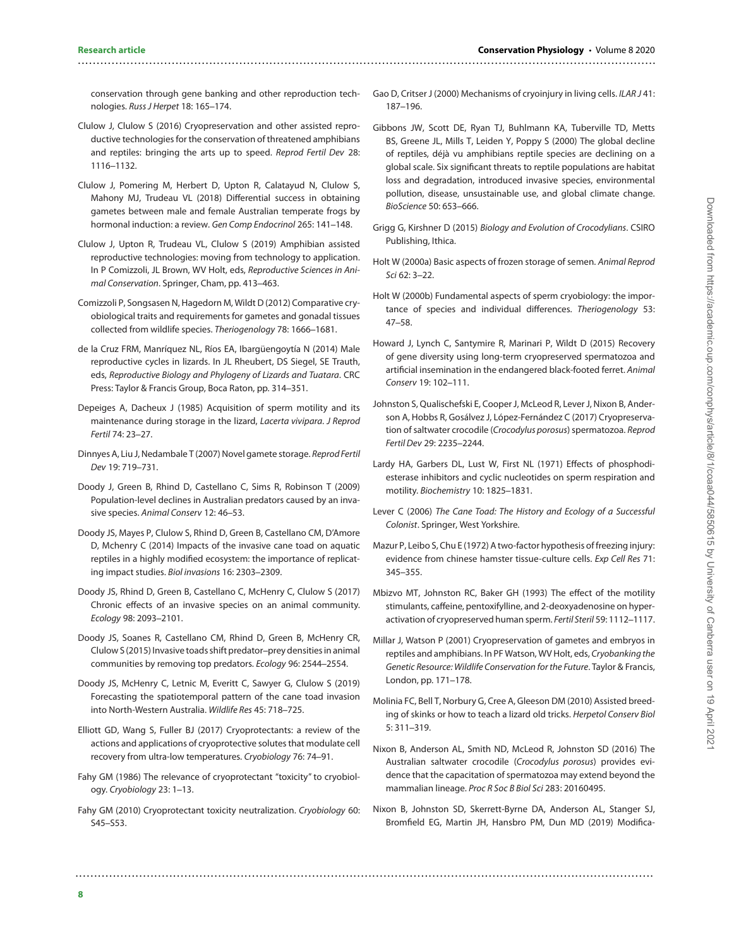nologies. Russ J Herpet 18: 165–174.

..........................................................................................................................................................

- <span id="page-7-0"></span>Clulow J, Clulow S (2016) Cryopreservation and other assisted reproductive technologies for the conservation of threatened amphibians and reptiles: bringing the arts up to speed. Reprod Fertil Dev 28: 1116–1132.
- <span id="page-7-27"></span>Clulow J, Pomering M, Herbert D, Upton R, Calatayud N, Clulow S, Mahony MJ, Trudeau VL (2018) Differential success in obtaining gametes between male and female Australian temperate frogs by hormonal induction: a review. Gen Comp Endocrinol 265: 141–148.
- <span id="page-7-28"></span><span id="page-7-18"></span><span id="page-7-3"></span>Clulow J, Upton R, Trudeau VL, Clulow S (2019) Amphibian assisted reproductive technologies: moving from technology to application. In P Comizzoli, JL Brown, WV Holt, eds, Reproductive Sciences in Animal Conservation. Springer, Cham, pp. 413–463.
- <span id="page-7-19"></span><span id="page-7-11"></span>Comizzoli P, Songsasen N, Hagedorn M, Wildt D (2012) Comparative cryobiological traits and requirements for gametes and gonadal tissues collected from wildlife species. Theriogenology 78: 1666–1681.
- <span id="page-7-16"></span><span id="page-7-1"></span>de la Cruz FRM, Manríquez NL, Ríos EA, Ibargüengoytía N (2014) Male reproductive cycles in lizards. In JL Rheubert, DS Siegel, SE Trauth, eds, Reproductive Biology and Phylogeny of Lizards and Tuatara. CRC Press: Taylor & Francis Group, Boca Raton, pp. 314–351.
- <span id="page-7-17"></span><span id="page-7-14"></span>Depeiges A, Dacheux J (1985) Acquisition of sperm motility and its maintenance during storage in the lizard, Lacerta vivipara. J Reprod Fertil 74: 23–27.
- <span id="page-7-22"></span><span id="page-7-10"></span>Dinnyes A, Liu J, Nedambale T (2007) Novel gamete storage. Reprod Fertil Dev 19: 719–731.
- <span id="page-7-5"></span>Doody J, Green B, Rhind D, Castellano C, Sims R, Robinson T (2009) Population-level declines in Australian predators caused by an invasive species. Animal Conserv 12: 46–53.
- <span id="page-7-25"></span><span id="page-7-8"></span><span id="page-7-6"></span>Doody JS, Mayes P, Clulow S, Rhind D, Green B, Castellano CM, D'Amore D, Mchenry C (2014) Impacts of the invasive cane toad on aquatic reptiles in a highly modified ecosystem: the importance of replicating impact studies. Biol invasions 16: 2303–2309.
- <span id="page-7-15"></span><span id="page-7-7"></span>Doody JS, Rhind D, Green B, Castellano C, McHenry C, Clulow S (2017) Chronic effects of an invasive species on an animal community. Ecology 98: 2093–2101.
- <span id="page-7-26"></span><span id="page-7-9"></span>Doody JS, Soanes R, Castellano CM, Rhind D, Green B, McHenry CR, Clulow S (2015) Invasive toads shift predator–prey densities in animal communities by removing top predators. Ecology 96: 2544–2554.
- <span id="page-7-2"></span>Doody JS, McHenry C, Letnic M, Everitt C, Sawyer G, Clulow S (2019) Forecasting the spatiotemporal pattern of the cane toad invasion into North-Western Australia. Wildlife Res 45: 718–725.
- <span id="page-7-23"></span><span id="page-7-20"></span>Elliott GD, Wang S, Fuller BJ (2017) Cryoprotectants: a review of the actions and applications of cryoprotective solutes that modulate cell recovery from ultra-low temperatures. Cryobiology 76: 74–91.
- <span id="page-7-12"></span>Fahy GM (1986) The relevance of cryoprotectant "toxicity" to cryobiology. Cryobiology 23: 1–13.
- <span id="page-7-24"></span><span id="page-7-13"></span>Fahy GM (2010) Cryoprotectant toxicity neutralization. Cryobiology 60: S45–S53.

- <span id="page-7-21"></span><span id="page-7-4"></span>conservation through gene banking and other reproduction tech-Gao D, Critser J (2000) Mechanisms of cryoinjury in living cells. ILAR J 41: 187–196.
	- Gibbons JW, Scott DE, Ryan TJ, Buhlmann KA, Tuberville TD, Metts BS, Greene JL, Mills T, Leiden Y, Poppy S (2000) The global decline of reptiles, déjà vu amphibians reptile species are declining on a global scale. Six significant threats to reptile populations are habitat loss and degradation, introduced invasive species, environmental pollution, disease, unsustainable use, and global climate change. BioScience 50: 653–666.
	- Grigg G, Kirshner D (2015) Biology and Evolution of Crocodylians. CSIRO Publishing, Ithica.
	- Holt W (2000a) Basic aspects of frozen storage of semen. Animal Reprod Sci 62: 3–22.
	- Holt W (2000b) Fundamental aspects of sperm cryobiology: the importance of species and individual differences. Theriogenology 53: 47–58.
	- Howard J, Lynch C, Santymire R, Marinari P, Wildt D (2015) Recovery of gene diversity using long-term cryopreserved spermatozoa and artificial insemination in the endangered black-footed ferret. Animal Conserv 19: 102–111.
	- Johnston S, Qualischefski E, Cooper J, McLeod R, Lever J, Nixon B, Anderson A, Hobbs R, Gosálvez J, López-Fernández C (2017) Cryopreservation of saltwater crocodile (Crocodylus porosus) spermatozoa. Reprod Fertil Dev 29: 2235–2244.
	- Lardy HA, Garbers DL, Lust W, First NL (1971) Effects of phosphodiesterase inhibitors and cyclic nucleotides on sperm respiration and motility. Biochemistry 10: 1825–1831.
	- Lever C (2006) The Cane Toad: The History and Ecology of a Successful Colonist. Springer, West Yorkshire.
	- Mazur P, Leibo S, Chu E (1972) A two-factor hypothesis of freezing injury: evidence from chinese hamster tissue-culture cells. Exp Cell Res 71: 345–355.
	- Mbizvo MT, Johnston RC, Baker GH (1993) The effect of the motility stimulants, caffeine, pentoxifylline, and 2-deoxyadenosine on hyperactivation of cryopreserved human sperm. Fertil Steril 59: 1112–1117.
	- Millar J, Watson P (2001) Cryopreservation of gametes and embryos in reptiles and amphibians. In PF Watson, WV Holt, eds, Cryobanking the Genetic Resource: Wildlife Conservation for the Future. Taylor & Francis, London, pp. 171–178.
	- Molinia FC, Bell T, Norbury G, Cree A, Gleeson DM (2010) Assisted breeding of skinks or how to teach a lizard old tricks. Herpetol Conserv Biol 5: 311–319.
	- Nixon B, Anderson AL, Smith ND, McLeod R, Johnston SD (2016) The Australian saltwater crocodile (Crocodylus porosus) provides evidence that the capacitation of spermatozoa may extend beyond the mammalian lineage. Proc R Soc B Biol Sci 283: 20160495.
	- Nixon B, Johnston SD, Skerrett-Byrne DA, Anderson AL, Stanger SJ, Bromfield EG, Martin JH, Hansbro PM, Dun MD (2019) Modifica-